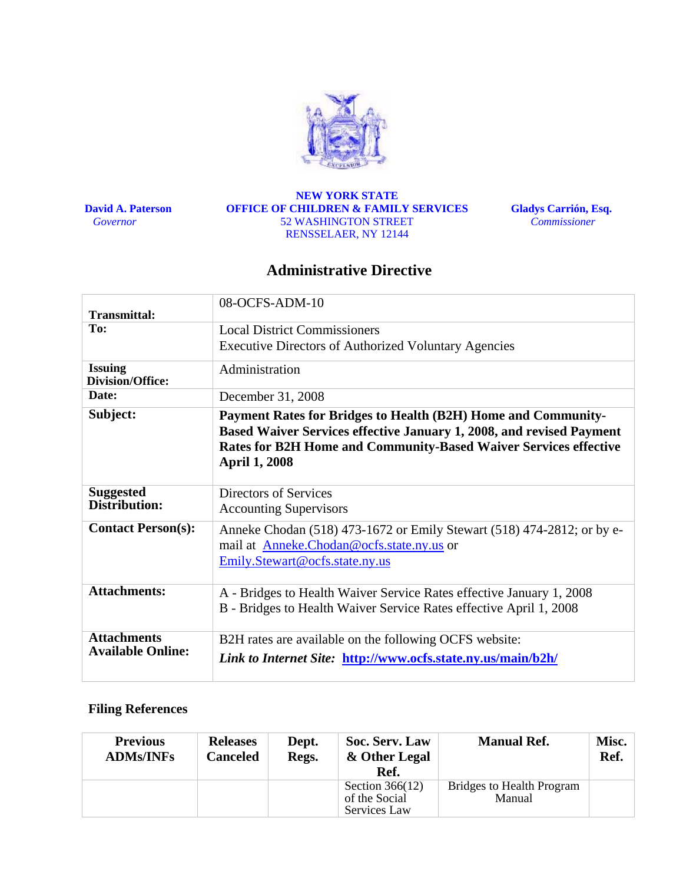

 **David A. Paterson**   *Governor* 

#### **NEW YORK STATE OFFICE OF CHILDREN & FAMILY SERVICES**  52 WASHINGTON STREET RENSSELAER, NY 12144

**Gladys Carrión, Esq.**   *Commissioner* 

### **Administrative Directive**

| Transmittal:                                   | 08-OCFS-ADM-10                                                                                                                                                                                                                           |
|------------------------------------------------|------------------------------------------------------------------------------------------------------------------------------------------------------------------------------------------------------------------------------------------|
| To:                                            | <b>Local District Commissioners</b>                                                                                                                                                                                                      |
|                                                | <b>Executive Directors of Authorized Voluntary Agencies</b>                                                                                                                                                                              |
| <b>Issuing</b><br><b>Division/Office:</b>      | Administration                                                                                                                                                                                                                           |
| Date:                                          | December 31, 2008                                                                                                                                                                                                                        |
| Subject:                                       | Payment Rates for Bridges to Health (B2H) Home and Community-<br>Based Waiver Services effective January 1, 2008, and revised Payment<br><b>Rates for B2H Home and Community-Based Waiver Services effective</b><br><b>April 1, 2008</b> |
| <b>Suggested</b><br><b>Distribution:</b>       | <b>Directors of Services</b><br><b>Accounting Supervisors</b>                                                                                                                                                                            |
| <b>Contact Person(s):</b>                      | Anneke Chodan (518) 473-1672 or Emily Stewart (518) 474-2812; or by e-<br>mail at Anneke.Chodan@ocfs.state.ny.us or<br>Emily.Stewart@ocfs.state.ny.us                                                                                    |
| <b>Attachments:</b>                            | A - Bridges to Health Waiver Service Rates effective January 1, 2008<br>B - Bridges to Health Waiver Service Rates effective April 1, 2008                                                                                               |
| <b>Attachments</b><br><b>Available Online:</b> | B2H rates are available on the following OCFS website:<br>Link to Internet Site: http://www.ocfs.state.ny.us/main/b2h/                                                                                                                   |

### **Filing References**

| <b>Previous</b><br><b>ADMs/INFs</b> | <b>Releases</b><br><b>Canceled</b> | Dept.<br>Regs. | Soc. Serv. Law<br>& Other Legal<br>Ref.            | <b>Manual Ref.</b>                  | Misc.<br>Ref. |
|-------------------------------------|------------------------------------|----------------|----------------------------------------------------|-------------------------------------|---------------|
|                                     |                                    |                | Section $366(12)$<br>of the Social<br>Services Law | Bridges to Health Program<br>Manual |               |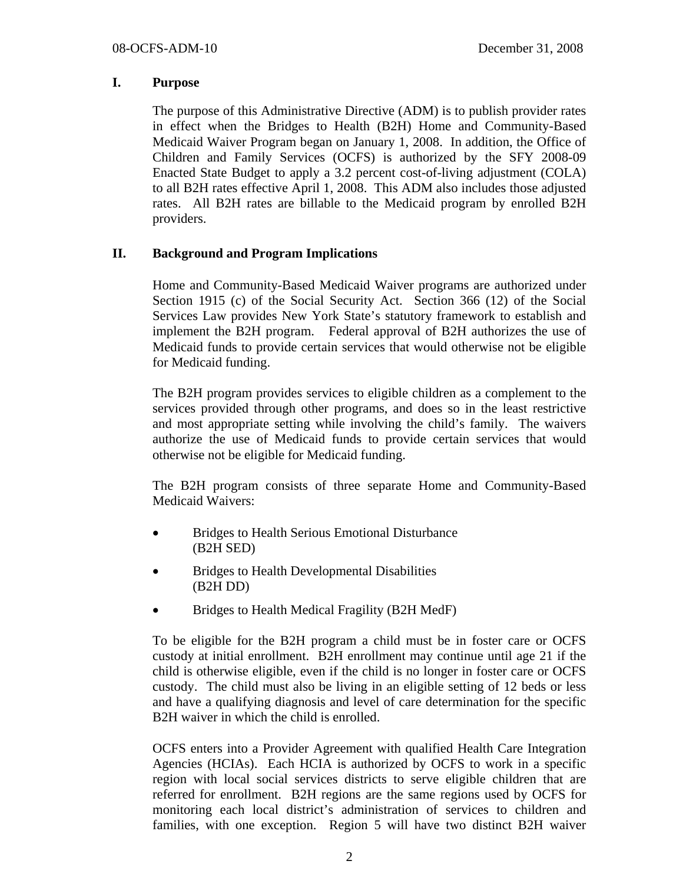#### **I. Purpose**

The purpose of this Administrative Directive (ADM) is to publish provider rates in effect when the Bridges to Health (B2H) Home and Community-Based Medicaid Waiver Program began on January 1, 2008. In addition, the Office of Children and Family Services (OCFS) is authorized by the SFY 2008-09 Enacted State Budget to apply a 3.2 percent cost-of-living adjustment (COLA) to all B2H rates effective April 1, 2008. This ADM also includes those adjusted rates. All B2H rates are billable to the Medicaid program by enrolled B2H providers.

#### **II. Background and Program Implications**

Home and Community-Based Medicaid Waiver programs are authorized under Section 1915 (c) of the Social Security Act. Section 366 (12) of the Social Services Law provides New York State's statutory framework to establish and implement the B2H program. Federal approval of B2H authorizes the use of Medicaid funds to provide certain services that would otherwise not be eligible for Medicaid funding.

The B2H program provides services to eligible children as a complement to the services provided through other programs, and does so in the least restrictive and most appropriate setting while involving the child's family. The waivers authorize the use of Medicaid funds to provide certain services that would otherwise not be eligible for Medicaid funding.

The B2H program consists of three separate Home and Community-Based Medicaid Waivers:

- Bridges to Health Serious Emotional Disturbance (B2H SED)
- Bridges to Health Developmental Disabilities (B2H DD)
- Bridges to Health Medical Fragility (B2H MedF)

To be eligible for the B2H program a child must be in foster care or OCFS custody at initial enrollment. B2H enrollment may continue until age 21 if the child is otherwise eligible, even if the child is no longer in foster care or OCFS custody. The child must also be living in an eligible setting of 12 beds or less and have a qualifying diagnosis and level of care determination for the specific B2H waiver in which the child is enrolled.

OCFS enters into a Provider Agreement with qualified Health Care Integration Agencies (HCIAs). Each HCIA is authorized by OCFS to work in a specific region with local social services districts to serve eligible children that are referred for enrollment. B2H regions are the same regions used by OCFS for monitoring each local district's administration of services to children and families, with one exception. Region 5 will have two distinct B2H waiver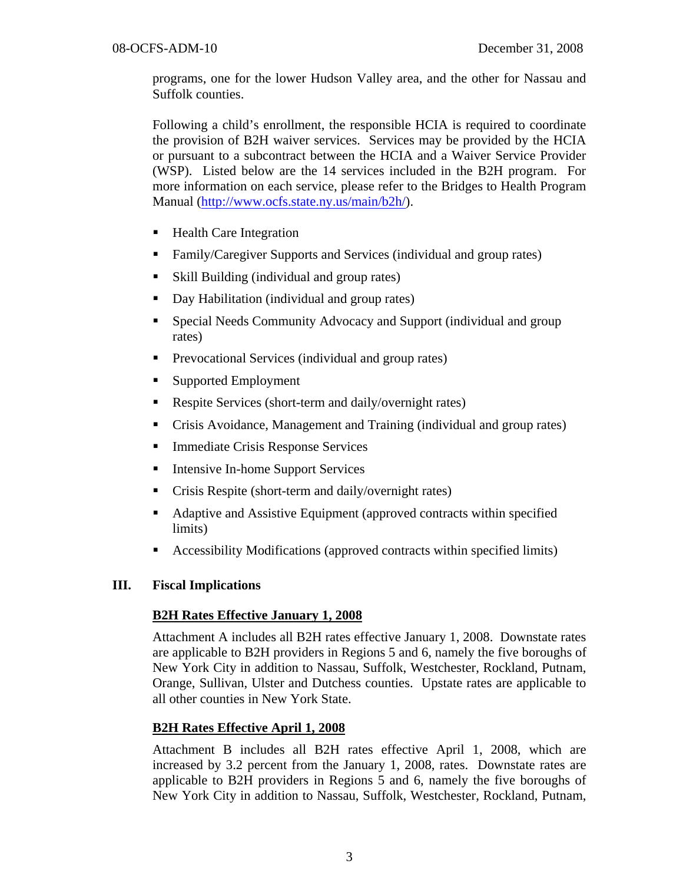programs, one for the lower Hudson Valley area, and the other for Nassau and Suffolk counties.

Following a child's enrollment, the responsible HCIA is required to coordinate the provision of B2H waiver services. Services may be provided by the HCIA or pursuant to a subcontract between the HCIA and a Waiver Service Provider (WSP). Listed below are the 14 services included in the B2H program. For more information on each service, please refer to the Bridges to Health Program Manual (http://www.ocfs.state.ny.us/main/b2h/).

- Health Care Integration
- Family/Caregiver Supports and Services (individual and group rates)
- Skill Building (individual and group rates)
- Day Habilitation (individual and group rates)
- Special Needs Community Advocacy and Support (individual and group rates)
- **Prevocational Services (individual and group rates)**
- Supported Employment
- Respite Services (short-term and daily/overnight rates)
- Crisis Avoidance, Management and Training (individual and group rates)
- **Immediate Crisis Response Services**
- Intensive In-home Support Services
- Crisis Respite (short-term and daily/overnight rates)
- Adaptive and Assistive Equipment (approved contracts within specified limits)
- Accessibility Modifications (approved contracts within specified limits)

### **III. Fiscal Implications**

### **B2H Rates Effective January 1, 2008**

Attachment A includes all B2H rates effective January 1, 2008. Downstate rates are applicable to B2H providers in Regions 5 and 6, namely the five boroughs of New York City in addition to Nassau, Suffolk, Westchester, Rockland, Putnam, Orange, Sullivan, Ulster and Dutchess counties. Upstate rates are applicable to all other counties in New York State.

### **B2H Rates Effective April 1, 2008**

Attachment B includes all B2H rates effective April 1, 2008, which are increased by 3.2 percent from the January 1, 2008, rates. Downstate rates are applicable to B2H providers in Regions 5 and 6, namely the five boroughs of New York City in addition to Nassau, Suffolk, Westchester, Rockland, Putnam,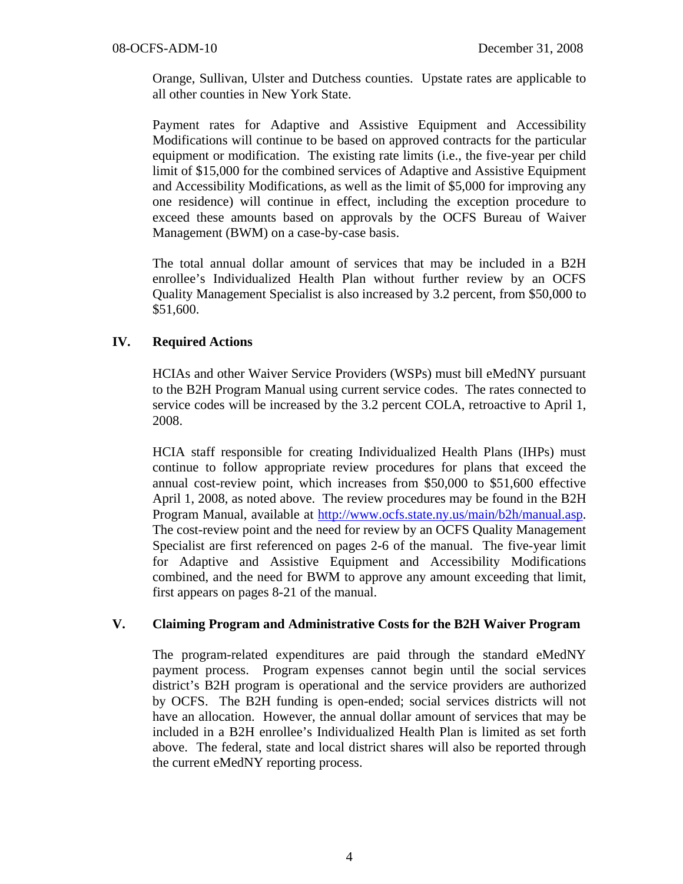Orange, Sullivan, Ulster and Dutchess counties. Upstate rates are applicable to all other counties in New York State.

Payment rates for Adaptive and Assistive Equipment and Accessibility Modifications will continue to be based on approved contracts for the particular equipment or modification. The existing rate limits (i.e., the five-year per child limit of \$15,000 for the combined services of Adaptive and Assistive Equipment and Accessibility Modifications, as well as the limit of \$5,000 for improving any one residence) will continue in effect, including the exception procedure to exceed these amounts based on approvals by the OCFS Bureau of Waiver Management (BWM) on a case-by-case basis.

The total annual dollar amount of services that may be included in a B2H enrollee's Individualized Health Plan without further review by an OCFS Quality Management Specialist is also increased by 3.2 percent, from \$50,000 to \$51,600.

### **IV. Required Actions**

HCIAs and other Waiver Service Providers (WSPs) must bill eMedNY pursuant to the B2H Program Manual using current service codes. The rates connected to service codes will be increased by the 3.2 percent COLA, retroactive to April 1, 2008.

HCIA staff responsible for creating Individualized Health Plans (IHPs) must continue to follow appropriate review procedures for plans that exceed the annual cost-review point, which increases from \$50,000 to \$51,600 effective April 1, 2008, as noted above. The review procedures may be found in the B2H Program Manual, available at http://www.ocfs.state.ny.us/main/b2h/manual.asp. The cost-review point and the need for review by an OCFS Quality Management Specialist are first referenced on pages 2-6 of the manual. The five-year limit for Adaptive and Assistive Equipment and Accessibility Modifications combined, and the need for BWM to approve any amount exceeding that limit, first appears on pages 8-21 of the manual.

### **V. Claiming Program and Administrative Costs for the B2H Waiver Program**

The program-related expenditures are paid through the standard eMedNY payment process. Program expenses cannot begin until the social services district's B2H program is operational and the service providers are authorized by OCFS. The B2H funding is open-ended; social services districts will not have an allocation. However, the annual dollar amount of services that may be included in a B2H enrollee's Individualized Health Plan is limited as set forth above. The federal, state and local district shares will also be reported through the current eMedNY reporting process.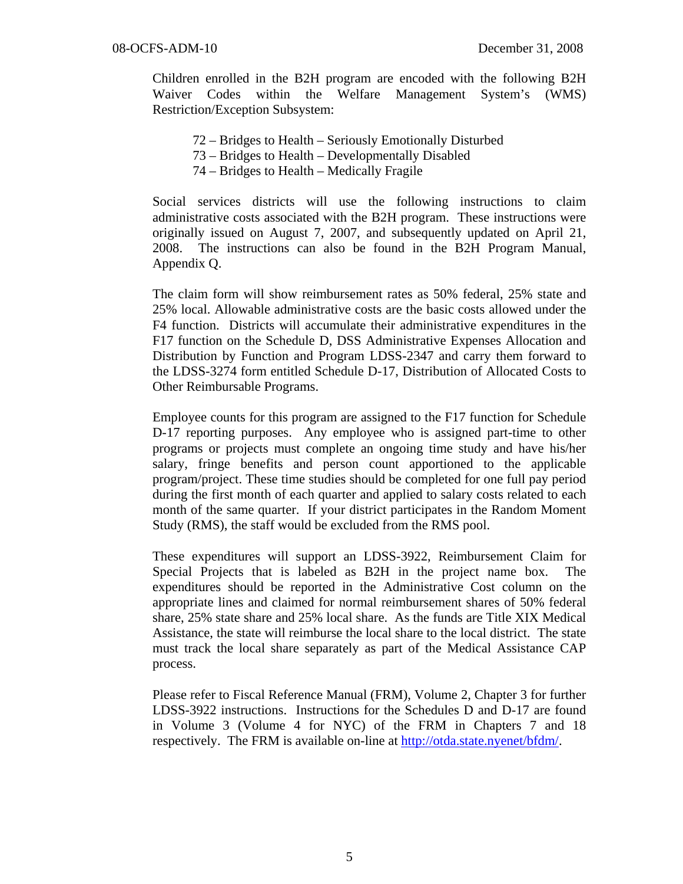Children enrolled in the B2H program are encoded with the following B2H Waiver Codes within the Welfare Management System's (WMS) Restriction/Exception Subsystem:

- 72 Bridges to Health Seriously Emotionally Disturbed
- 73 Bridges to Health Developmentally Disabled
- 74 Bridges to Health Medically Fragile

Social services districts will use the following instructions to claim administrative costs associated with the B2H program. These instructions were originally issued on August 7, 2007, and subsequently updated on April 21, 2008. The instructions can also be found in the B2H Program Manual, Appendix Q.

The claim form will show reimbursement rates as 50% federal, 25% state and 25% local. Allowable administrative costs are the basic costs allowed under the F4 function. Districts will accumulate their administrative expenditures in the F17 function on the Schedule D, DSS Administrative Expenses Allocation and Distribution by Function and Program LDSS-2347 and carry them forward to the LDSS-3274 form entitled Schedule D-17, Distribution of Allocated Costs to Other Reimbursable Programs.

Employee counts for this program are assigned to the F17 function for Schedule D-17 reporting purposes. Any employee who is assigned part-time to other programs or projects must complete an ongoing time study and have his/her salary, fringe benefits and person count apportioned to the applicable program/project. These time studies should be completed for one full pay period during the first month of each quarter and applied to salary costs related to each month of the same quarter. If your district participates in the Random Moment Study (RMS), the staff would be excluded from the RMS pool.

These expenditures will support an LDSS-3922, Reimbursement Claim for Special Projects that is labeled as B2H in the project name box. The expenditures should be reported in the Administrative Cost column on the appropriate lines and claimed for normal reimbursement shares of 50% federal share, 25% state share and 25% local share. As the funds are Title XIX Medical Assistance, the state will reimburse the local share to the local district. The state must track the local share separately as part of the Medical Assistance CAP process.

Please refer to Fiscal Reference Manual (FRM), Volume 2, Chapter 3 for further LDSS-3922 instructions. Instructions for the Schedules D and D-17 are found in Volume 3 (Volume 4 for NYC) of the FRM in Chapters 7 and 18 respectively. The FRM is available on-line at http://otda.state.nyenet/bfdm/.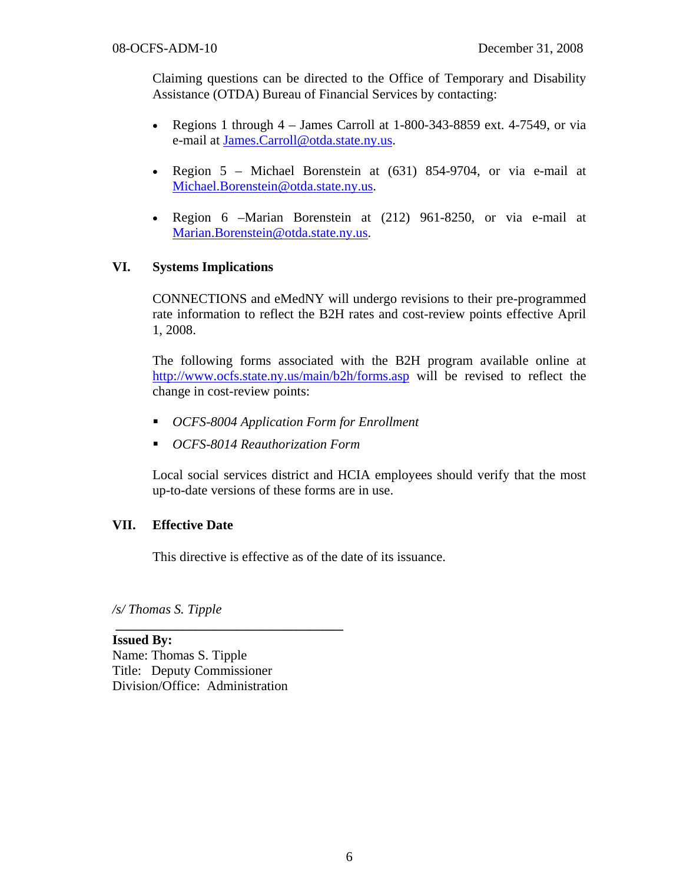Claiming questions can be directed to the Office of Temporary and Disability Assistance (OTDA) Bureau of Financial Services by contacting:

- Regions 1 through  $4 -$  James Carroll at 1-800-343-8859 ext. 4-7549, or via e-mail at James.Carroll@otda.state.ny.us.
- Region 5 Michael Borenstein at (631) 854-9704, or via e-mail at Michael.Borenstein@otda.state.ny.us.
- Region 6 –Marian Borenstein at (212) 961-8250, or via e-mail at Marian.Borenstein@otda.state.ny.us.

### **VI. Systems Implications**

CONNECTIONS and eMedNY will undergo revisions to their pre-programmed rate information to reflect the B2H rates and cost-review points effective April 1, 2008.

The following forms associated with the B2H program available online at http://www.ocfs.state.ny.us/main/b2h/forms.asp will be revised to reflect the change in cost-review points:

- *OCFS-8004 Application Form for Enrollment*
- *OCFS-8014 Reauthorization Form*

Local social services district and HCIA employees should verify that the most up-to-date versions of these forms are in use.

### **VII. Effective Date**

This directive is effective as of the date of its issuance.

*/s/ Thomas S. Tipple*  **\_\_\_\_\_\_\_\_\_\_\_\_\_\_\_\_\_\_\_\_\_\_\_\_\_\_\_\_\_\_\_\_\_\_** 

**Issued By:**  Name: Thomas S. Tipple Title: Deputy Commissioner Division/Office: Administration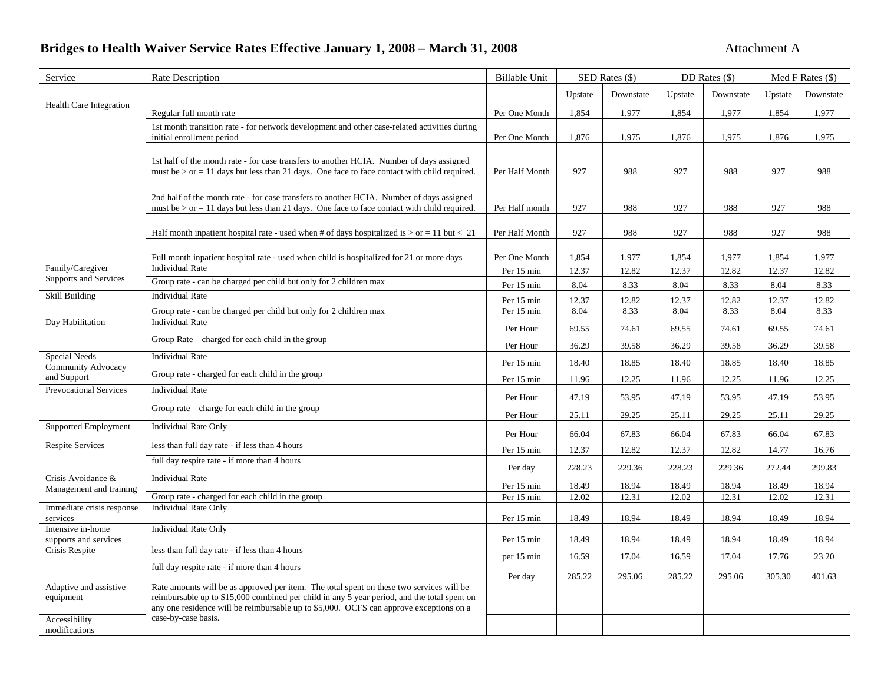# **Bridges to Health Waiver Service Rates Effective January 1, 2008 – March 31, 2008 Attachment A** Attachment A

| Service                                                                                    | <b>Rate Description</b>                                                                                                                                                                                                                                                                                  | <b>Billable Unit</b>   | SED Rates (\$) |                | DD Rates $(\$)$ |                | Med F Rates $(\$)$ |                |
|--------------------------------------------------------------------------------------------|----------------------------------------------------------------------------------------------------------------------------------------------------------------------------------------------------------------------------------------------------------------------------------------------------------|------------------------|----------------|----------------|-----------------|----------------|--------------------|----------------|
|                                                                                            |                                                                                                                                                                                                                                                                                                          |                        | Upstate        | Downstate      | Upstate         | Downstate      | Upstate            | Downstate      |
| <b>Health Care Integration</b>                                                             | Regular full month rate                                                                                                                                                                                                                                                                                  | Per One Month          | 1,854          | 1,977          | 1,854           | 1,977          | 1,854              | 1,977          |
|                                                                                            | 1st month transition rate - for network development and other case-related activities during<br>initial enrollment period                                                                                                                                                                                | Per One Month          | 1,876          | 1,975          | 1,876           | 1,975          | 1,876              | 1,975          |
|                                                                                            | 1st half of the month rate - for case transfers to another HCIA. Number of days assigned<br>must be $>$ or = 11 days but less than 21 days. One face to face contact with child required.                                                                                                                | Per Half Month         | 927            | 988            | 927             | 988            | 927                | 988            |
|                                                                                            | 2nd half of the month rate - for case transfers to another HCIA. Number of days assigned<br>must be $>$ or $=$ 11 days but less than 21 days. One face to face contact with child required.                                                                                                              | Per Half month         | 927            | 988            | 927             | 988            | 927                | 988            |
|                                                                                            | Half month inpatient hospital rate - used when # of days hospitalized is $>$ or = 11 but < 21                                                                                                                                                                                                            | Per Half Month         | 927            | 988            | 927             | 988            | 927                | 988            |
|                                                                                            | Full month inpatient hospital rate - used when child is hospitalized for 21 or more days                                                                                                                                                                                                                 | Per One Month          | 1,854          | 1,977          | 1,854           | 1,977          | 1,854              | 1,977          |
| Family/Caregiver<br>Supports and Services                                                  | <b>Individual Rate</b><br>Group rate - can be charged per child but only for 2 children max                                                                                                                                                                                                              | Per 15 min             | 12.37          | 12.82          | 12.37           | 12.82          | 12.37              | 12.82          |
| Skill Building                                                                             | <b>Individual Rate</b>                                                                                                                                                                                                                                                                                   | Per 15 min             | 8.04           | 8.33           | 8.04            | 8.33           | 8.04               | 8.33           |
|                                                                                            | Group rate - can be charged per child but only for 2 children max                                                                                                                                                                                                                                        | Per 15 min             | 12.37<br>8.04  | 12.82<br>8.33  | 12.37<br>8.04   | 12.82<br>8.33  | 12.37<br>8.04      | 12.82<br>8.33  |
| Day Habilitation                                                                           | <b>Individual Rate</b>                                                                                                                                                                                                                                                                                   | Per 15 min             |                |                |                 |                |                    |                |
|                                                                                            | Group Rate – charged for each child in the group                                                                                                                                                                                                                                                         | Per Hour<br>Per Hour   | 69.55<br>36.29 | 74.61<br>39.58 | 69.55<br>36.29  | 74.61<br>39.58 | 69.55<br>36.29     | 74.61<br>39.58 |
| Special Needs<br><b>Community Advocacy</b><br>and Support<br><b>Prevocational Services</b> | <b>Individual Rate</b>                                                                                                                                                                                                                                                                                   |                        |                |                |                 |                |                    |                |
|                                                                                            | Group rate - charged for each child in the group                                                                                                                                                                                                                                                         | Per 15 min             | 18.40          | 18.85          | 18.40           | 18.85          | 18.40              | 18.85          |
|                                                                                            | <b>Individual Rate</b>                                                                                                                                                                                                                                                                                   | Per 15 min<br>Per Hour | 11.96<br>47.19 | 12.25<br>53.95 | 11.96<br>47.19  | 12.25<br>53.95 | 11.96<br>47.19     | 12.25<br>53.95 |
|                                                                                            | Group rate $-$ charge for each child in the group                                                                                                                                                                                                                                                        | Per Hour               | 25.11          | 29.25          | 25.11           | 29.25          | 25.11              | 29.25          |
| Supported Employment                                                                       | <b>Individual Rate Only</b>                                                                                                                                                                                                                                                                              | Per Hour               | 66.04          | 67.83          | 66.04           | 67.83          | 66.04              | 67.83          |
| <b>Respite Services</b>                                                                    | less than full day rate - if less than 4 hours                                                                                                                                                                                                                                                           | Per 15 min             | 12.37          | 12.82          | 12.37           | 12.82          | 14.77              | 16.76          |
|                                                                                            | full day respite rate - if more than 4 hours                                                                                                                                                                                                                                                             | Per day                | 228.23         | 229.36         | 228.23          | 229.36         | 272.44             | 299.83         |
| Crisis Avoidance &                                                                         | <b>Individual Rate</b>                                                                                                                                                                                                                                                                                   | Per 15 min             | 18.49          | 18.94          | 18.49           | 18.94          | 18.49              | 18.94          |
| Management and training                                                                    | Group rate - charged for each child in the group                                                                                                                                                                                                                                                         | Per 15 min             | 12.02          | 12.31          | 12.02           | 12.31          | 12.02              | 12.31          |
| Immediate crisis response<br>services                                                      | <b>Individual Rate Only</b>                                                                                                                                                                                                                                                                              | Per 15 min             | 18.49          | 18.94          | 18.49           | 18.94          | 18.49              | 18.94          |
| Intensive in-home<br>supports and services                                                 | <b>Individual Rate Only</b>                                                                                                                                                                                                                                                                              | Per 15 min             | 18.49          | 18.94          | 18.49           | 18.94          | 18.49              | 18.94          |
| Crisis Respite                                                                             | less than full day rate - if less than 4 hours                                                                                                                                                                                                                                                           | per 15 min             | 16.59          | 17.04          | 16.59           | 17.04          | 17.76              | 23.20          |
|                                                                                            | full day respite rate - if more than 4 hours                                                                                                                                                                                                                                                             | Per day                | 285.22         | 295.06         | 285.22          | 295.06         | 305.30             | 401.63         |
| Adaptive and assistive<br>equipment<br>Accessibility                                       | Rate amounts will be as approved per item. The total spent on these two services will be<br>reimbursable up to \$15,000 combined per child in any 5 year period, and the total spent on<br>any one residence will be reimbursable up to \$5,000. OCFS can approve exceptions on a<br>case-by-case basis. |                        |                |                |                 |                |                    |                |
| modifications                                                                              |                                                                                                                                                                                                                                                                                                          |                        |                |                |                 |                |                    |                |